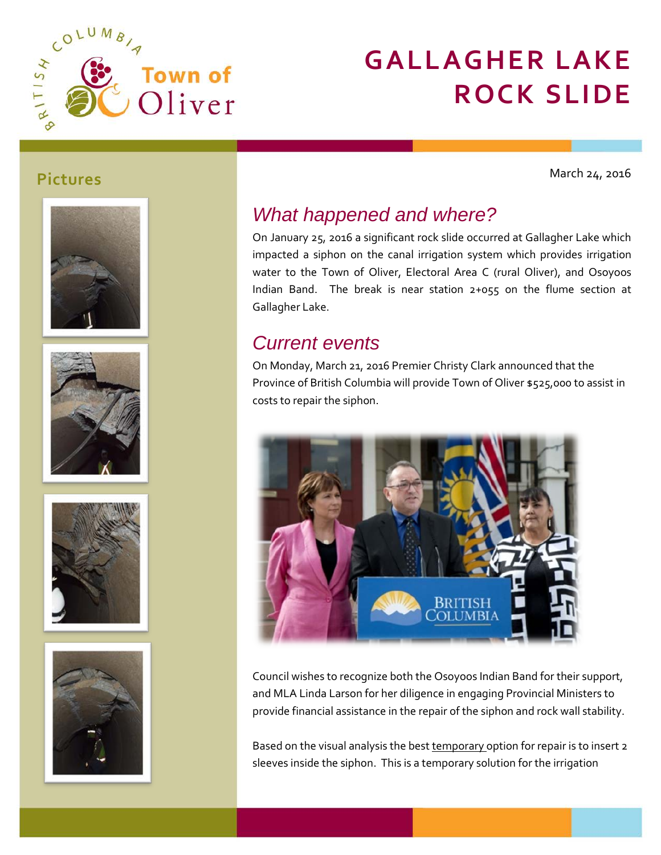

# **GALLAGHER LAKE ROCK SLIDE**

March 24, 2016











### *What happened and where?*

On January 25, 2016 a significant rock slide occurred at Gallagher Lake which impacted a siphon on the canal irrigation system which provides irrigation water to the Town of Oliver, Electoral Area C (rural Oliver), and Osoyoos Indian Band. The break is near station 2+055 on the flume section at Gallagher Lake.

#### *Current events*

On Monday, March 21, 2016 Premier Christy Clark announced that the Province of British Columbia will provide Town of Oliver \$525,000 to assist in costs to repair the siphon.



Council wishes to recognize both the Osoyoos Indian Band for their support, and MLA Linda Larson for her diligence in engaging Provincial Ministers to provide financial assistance in the repair of the siphon and rock wall stability.

Based on the visual analysis the best temporary option for repair is to insert 2 sleeves inside the siphon. This is a temporary solution for the irrigation